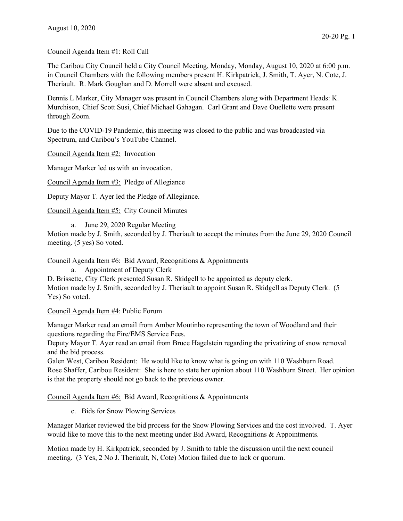## Council Agenda Item #1: Roll Call

The Caribou City Council held a City Council Meeting, Monday, Monday, August 10, 2020 at 6:00 p.m. in Council Chambers with the following members present H. Kirkpatrick, J. Smith, T. Ayer, N. Cote, J. Theriault. R. Mark Goughan and D. Morrell were absent and excused.

Dennis L Marker, City Manager was present in Council Chambers along with Department Heads: K. Murchison, Chief Scott Susi, Chief Michael Gahagan. Carl Grant and Dave Ouellette were present through Zoom.

Due to the COVID-19 Pandemic, this meeting was closed to the public and was broadcasted via Spectrum, and Caribou's YouTube Channel.

Council Agenda Item #2: Invocation

Manager Marker led us with an invocation.

Council Agenda Item #3: Pledge of Allegiance

Deputy Mayor T. Ayer led the Pledge of Allegiance.

Council Agenda Item #5: City Council Minutes

a. June 29, 2020 Regular Meeting

Motion made by J. Smith, seconded by J. Theriault to accept the minutes from the June 29, 2020 Council meeting. (5 yes) So voted.

Council Agenda Item #6: Bid Award, Recognitions & Appointments

a. Appointment of Deputy Clerk D. Brissette, City Clerk presented Susan R. Skidgell to be appointed as deputy clerk. Motion made by J. Smith, seconded by J. Theriault to appoint Susan R. Skidgell as Deputy Clerk. (5 Yes) So voted.

Council Agenda Item #4: Public Forum

Manager Marker read an email from Amber Moutinho representing the town of Woodland and their questions regarding the Fire/EMS Service Fees.

Deputy Mayor T. Ayer read an email from Bruce Hagelstein regarding the privatizing of snow removal and the bid process.

Galen West, Caribou Resident: He would like to know what is going on with 110 Washburn Road. Rose Shaffer, Caribou Resident: She is here to state her opinion about 110 Washburn Street. Her opinion is that the property should not go back to the previous owner.

Council Agenda Item #6: Bid Award, Recognitions & Appointments

c. Bids for Snow Plowing Services

Manager Marker reviewed the bid process for the Snow Plowing Services and the cost involved. T. Ayer would like to move this to the next meeting under Bid Award, Recognitions & Appointments.

Motion made by H. Kirkpatrick, seconded by J. Smith to table the discussion until the next council meeting. (3 Yes, 2 No J. Theriault, N, Cote) Motion failed due to lack or quorum.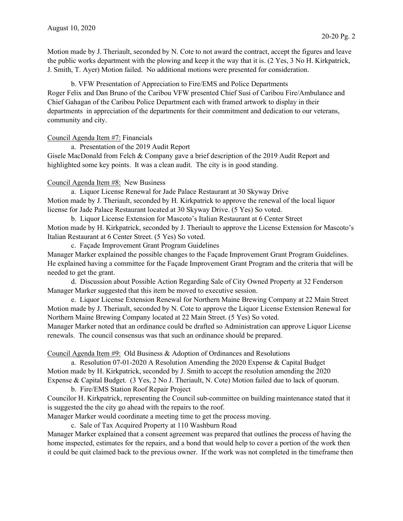Motion made by J. Theriault, seconded by N. Cote to not award the contract, accept the figures and leave the public works department with the plowing and keep it the way that it is. (2 Yes, 3 No H. Kirkpatrick, J. Smith, T. Ayer) Motion failed. No additional motions were presented for consideration.

 b. VFW Presentation of Appreciation to Fire/EMS and Police Departments Roger Felix and Dan Bruno of the Caribou VFW presented Chief Susi of Caribou Fire/Ambulance and Chief Gahagan of the Caribou Police Department each with framed artwork to display in their departments in appreciation of the departments for their commitment and dedication to our veterans, community and city.

## Council Agenda Item #7: Financials

a. Presentation of the 2019 Audit Report

Gisele MacDonald from Felch & Company gave a brief description of the 2019 Audit Report and highlighted some key points. It was a clean audit. The city is in good standing.

## Council Agenda Item #8: New Business

 a. Liquor License Renewal for Jade Palace Restaurant at 30 Skyway Drive Motion made by J. Theriault, seconded by H. Kirkpatrick to approve the renewal of the local liquor license for Jade Palace Restaurant located at 30 Skyway Drive. (5 Yes) So voted.

 b. Liquor License Extension for Mascoto's Italian Restaurant at 6 Center Street Motion made by H. Kirkpatrick, seconded by J. Theriault to approve the License Extension for Mascoto's Italian Restaurant at 6 Center Street. (5 Yes) So voted.

c. Façade Improvement Grant Program Guidelines

Manager Marker explained the possible changes to the Façade Improvement Grant Program Guidelines. He explained having a committee for the Façade Improvement Grant Program and the criteria that will be needed to get the grant.

 d. Discussion about Possible Action Regarding Sale of City Owned Property at 32 Fenderson Manager Marker suggested that this item be moved to executive session.

 e. Liquor License Extension Renewal for Northern Maine Brewing Company at 22 Main Street Motion made by J. Theriault, seconded by N. Cote to approve the Liquor License Extension Renewal for Northern Maine Brewing Company located at 22 Main Street. (5 Yes) So voted.

Manager Marker noted that an ordinance could be drafted so Administration can approve Liquor License renewals. The council consensus was that such an ordinance should be prepared.

Council Agenda Item #9: Old Business & Adoption of Ordinances and Resolutions

 a. Resolution 07-01-2020 A Resolution Amending the 2020 Expense & Capital Budget Motion made by H. Kirkpatrick, seconded by J. Smith to accept the resolution amending the 2020 Expense & Capital Budget. (3 Yes, 2 No J. Theriault, N. Cote) Motion failed due to lack of quorum.

b. Fire/EMS Station Roof Repair Project

Councilor H. Kirkpatrick, representing the Council sub-committee on building maintenance stated that it is suggested the the city go ahead with the repairs to the roof.

Manager Marker would coordinate a meeting time to get the process moving.

c. Sale of Tax Acquired Property at 110 Washburn Road

Manager Marker explained that a consent agreement was prepared that outlines the process of having the home inspected, estimates for the repairs, and a bond that would help to cover a portion of the work then it could be quit claimed back to the previous owner. If the work was not completed in the timeframe then